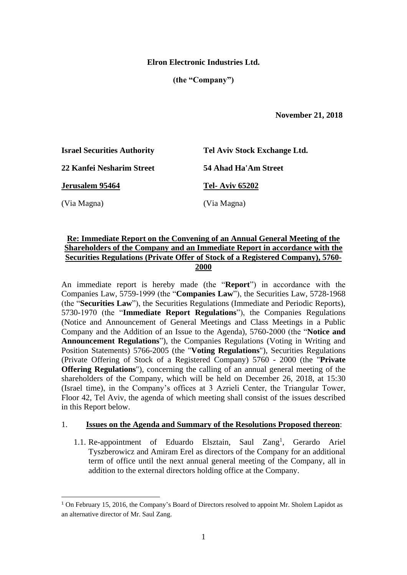## **Elron Electronic Industries Ltd.**

**(the "Company")**

 **November 21, 2018**

| <b>Israel Securities Authority</b> | Tel Aviv Stock Exchange Ltd. |
|------------------------------------|------------------------------|
| 22 Kanfei Nesharim Street          | 54 Ahad Ha'Am Street         |
| Jerusalem 95464                    | <b>Tel-Aviv 65202</b>        |
| (Via Magna)                        | (Via Magna)                  |

# **Re: Immediate Report on the Convening of an Annual General Meeting of the Shareholders of the Company and an Immediate Report in accordance with the Securities Regulations (Private Offer of Stock of a Registered Company), 5760- 2000**

An immediate report is hereby made (the "**Report**") in accordance with the Companies Law, 5759-1999 (the "**Companies Law**"), the Securities Law, 5728-1968 (the "**Securities Law**"), the Securities Regulations (Immediate and Periodic Reports), 5730-1970 (the "**Immediate Report Regulations**"), the Companies Regulations (Notice and Announcement of General Meetings and Class Meetings in a Public Company and the Addition of an Issue to the Agenda), 5760-2000 (the "**Notice and Announcement Regulations**"), the Companies Regulations (Voting in Writing and Position Statements) 5766-2005 (the "**Voting Regulations**"), Securities Regulations (Private Offering of Stock of a Registered Company) 5760 - 2000 (the "**Private Offering Regulations**"), concerning the calling of an annual general meeting of the shareholders of the Company, which will be held on December 26, 2018, at 15:30 (Israel time), in the Company's offices at 3 Azrieli Center, the Triangular Tower, Floor 42, Tel Aviv, the agenda of which meeting shall consist of the issues described in this Report below.

### 1. **Issues on the Agenda and Summary of the Resolutions Proposed thereon**:

1.1. Re-appointment of Eduardo Elsztain, Saul Zang<sup>1</sup>, Gerardo Ariel Tyszberowicz and Amiram Erel as directors of the Company for an additional term of office until the next annual general meeting of the Company, all in addition to the external directors holding office at the Company.

 $\overline{a}$ 

<sup>&</sup>lt;sup>1</sup> On February 15, 2016, the Company's Board of Directors resolved to appoint Mr. Sholem Lapidot as an alternative director of Mr. Saul Zang.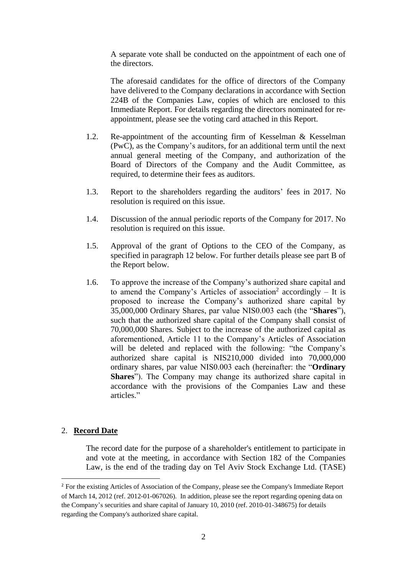A separate vote shall be conducted on the appointment of each one of the directors.

The aforesaid candidates for the office of directors of the Company have delivered to the Company declarations in accordance with Section 224B of the Companies Law, copies of which are enclosed to this Immediate Report. For details regarding the directors nominated for reappointment, please see the voting card attached in this Report.

- 1.2. Re-appointment of the accounting firm of Kesselman & Kesselman (PwC), as the Company's auditors, for an additional term until the next annual general meeting of the Company, and authorization of the Board of Directors of the Company and the Audit Committee, as required, to determine their fees as auditors.
- 1.3. Report to the shareholders regarding the auditors' fees in 2017. No resolution is required on this issue.
- 1.4. Discussion of the annual periodic reports of the Company for 2017. No resolution is required on this issue.
- 1.5. Approval of the grant of Options to the CEO of the Company, as specified in paragraph 12 below. For further details please see part B of the Report below.
- 1.6. To approve the increase of the Company's authorized share capital and to amend the Company's Articles of association<sup>2</sup> accordingly  $-$  It is proposed to increase the Company's authorized share capital by 35,000,000 Ordinary Shares, par value NIS0.003 each (the "**Shares**"), such that the authorized share capital of the Company shall consist of 70,000,000 Shares*.* Subject to the increase of the authorized capital as aforementioned, Article 11 to the Company's Articles of Association will be deleted and replaced with the following: "the Company's authorized share capital is NIS210,000 divided into 70,000,000 ordinary shares, par value NIS0.003 each (hereinafter: the "**Ordinary Shares**"). The Company may change its authorized share capital in accordance with the provisions of the Companies Law and these articles."

## 2. **Record Date**

 $\overline{a}$ 

The record date for the purpose of a shareholder's entitlement to participate in and vote at the meeting, in accordance with Section 182 of the Companies Law, is the end of the trading day on Tel Aviv Stock Exchange Ltd. (TASE)

<sup>&</sup>lt;sup>2</sup> For the existing Articles of Association of the Company, please see the Company's Immediate Report of March 14, 2012 (ref. 2012-01-067026). In addition, please see the report regarding opening data on the Company's securities and share capital of January 10, 2010 (ref. 2010-01-348675) for details regarding the Company's authorized share capital.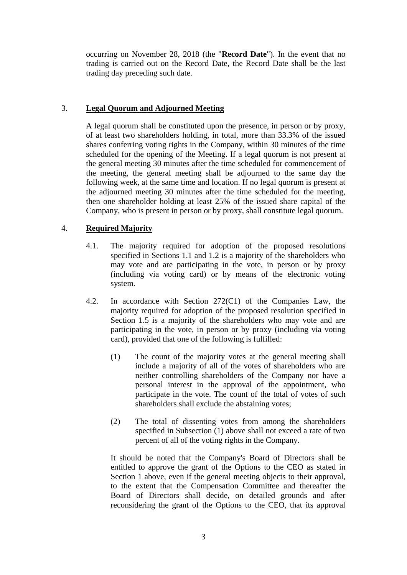occurring on November 28, 2018 (the "**Record Date**"). In the event that no trading is carried out on the Record Date, the Record Date shall be the last trading day preceding such date.

## 3. **Legal Quorum and Adjourned Meeting**

A legal quorum shall be constituted upon the presence, in person or by proxy, of at least two shareholders holding, in total, more than 33.3% of the issued shares conferring voting rights in the Company, within 30 minutes of the time scheduled for the opening of the Meeting. If a legal quorum is not present at the general meeting 30 minutes after the time scheduled for commencement of the meeting, the general meeting shall be adjourned to the same day the following week, at the same time and location. If no legal quorum is present at the adjourned meeting 30 minutes after the time scheduled for the meeting, then one shareholder holding at least 25% of the issued share capital of the Company, who is present in person or by proxy, shall constitute legal quorum.

# 4. **Required Majority**

- 4.1. The majority required for adoption of the proposed resolutions specified in Sections 1.1 and 1.2 is a majority of the shareholders who may vote and are participating in the vote, in person or by proxy (including via voting card) or by means of the electronic voting system.
- 4.2. In accordance with Section 272(C1) of the Companies Law, the majority required for adoption of the proposed resolution specified in Section 1.5 is a majority of the shareholders who may vote and are participating in the vote, in person or by proxy (including via voting card), provided that one of the following is fulfilled:
	- (1) The count of the majority votes at the general meeting shall include a majority of all of the votes of shareholders who are neither controlling shareholders of the Company nor have a personal interest in the approval of the appointment, who participate in the vote. The count of the total of votes of such shareholders shall exclude the abstaining votes;
	- (2) The total of dissenting votes from among the shareholders specified in Subsection (1) above shall not exceed a rate of two percent of all of the voting rights in the Company.

It should be noted that the Company's Board of Directors shall be entitled to approve the grant of the Options to the CEO as stated in Section 1 above, even if the general meeting objects to their approval, to the extent that the Compensation Committee and thereafter the Board of Directors shall decide, on detailed grounds and after reconsidering the grant of the Options to the CEO, that its approval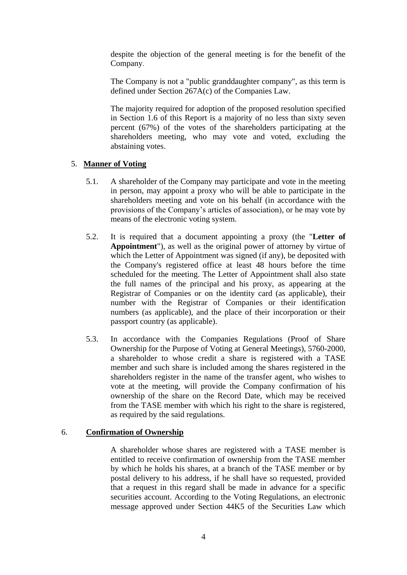despite the objection of the general meeting is for the benefit of the Company.

The Company is not a "public granddaughter company", as this term is defined under Section 267A(c) of the Companies Law.

The majority required for adoption of the proposed resolution specified in Section 1.6 of this Report is a majority of no less than sixty seven percent (67%) of the votes of the shareholders participating at the shareholders meeting, who may vote and voted, excluding the abstaining votes.

## 5. **Manner of Voting**

- 5.1. A shareholder of the Company may participate and vote in the meeting in person, may appoint a proxy who will be able to participate in the shareholders meeting and vote on his behalf (in accordance with the provisions of the Company's articles of association), or he may vote by means of the electronic voting system.
- 5.2. It is required that a document appointing a proxy (the "**Letter of Appointment**"), as well as the original power of attorney by virtue of which the Letter of Appointment was signed (if any), be deposited with the Company's registered office at least 48 hours before the time scheduled for the meeting. The Letter of Appointment shall also state the full names of the principal and his proxy, as appearing at the Registrar of Companies or on the identity card (as applicable), their number with the Registrar of Companies or their identification numbers (as applicable), and the place of their incorporation or their passport country (as applicable).
- 5.3. In accordance with the Companies Regulations (Proof of Share Ownership for the Purpose of Voting at General Meetings), 5760-2000, a shareholder to whose credit a share is registered with a TASE member and such share is included among the shares registered in the shareholders register in the name of the transfer agent, who wishes to vote at the meeting, will provide the Company confirmation of his ownership of the share on the Record Date, which may be received from the TASE member with which his right to the share is registered, as required by the said regulations.

### 6. **Confirmation of Ownership**

A shareholder whose shares are registered with a TASE member is entitled to receive confirmation of ownership from the TASE member by which he holds his shares, at a branch of the TASE member or by postal delivery to his address, if he shall have so requested, provided that a request in this regard shall be made in advance for a specific securities account. According to the Voting Regulations, an electronic message approved under Section 44K5 of the Securities Law which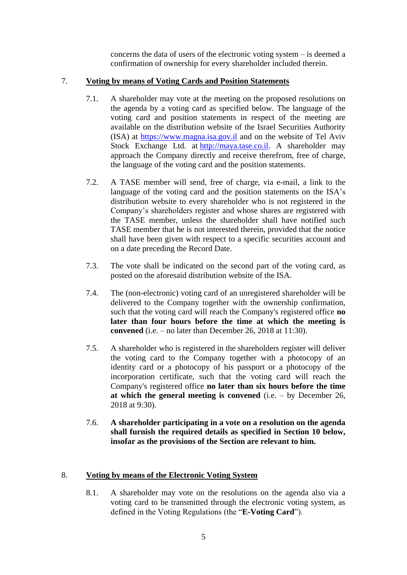concerns the data of users of the electronic voting system – is deemed a confirmation of ownership for every shareholder included therein.

# 7. **Voting by means of Voting Cards and Position Statements**

- 7.1. A shareholder may vote at the meeting on the proposed resolutions on the agenda by a voting card as specified below. The language of the voting card and position statements in respect of the meeting are available on the distribution website of the Israel Securities Authority (ISA) at [https://www.magna.isa.gov.il](https://www.magna.isa.gov.il/) and on the website of Tel Aviv Stock Exchange Ltd. at [http://maya.tase.co.il.](http://maya.tase.co.il/) A shareholder may approach the Company directly and receive therefrom, free of charge, the language of the voting card and the position statements.
- 7.2. A TASE member will send, free of charge, via e-mail, a link to the language of the voting card and the position statements on the ISA's distribution website to every shareholder who is not registered in the Company's shareholders register and whose shares are registered with the TASE member, unless the shareholder shall have notified such TASE member that he is not interested therein, provided that the notice shall have been given with respect to a specific securities account and on a date preceding the Record Date.
- 7.3. The vote shall be indicated on the second part of the voting card, as posted on the aforesaid distribution website of the ISA.
- 7.4. The (non-electronic) voting card of an unregistered shareholder will be delivered to the Company together with the ownership confirmation, such that the voting card will reach the Company's registered office **no later than four hours before the time at which the meeting is convened** (i.e. – no later than December 26, 2018 at 11:30).
- 7.5. A shareholder who is registered in the shareholders register will deliver the voting card to the Company together with a photocopy of an identity card or a photocopy of his passport or a photocopy of the incorporation certificate, such that the voting card will reach the Company's registered office **no later than six hours before the time at which the general meeting is convened** (i.e. – by December 26, 2018 at 9:30).
- 7.6. **A shareholder participating in a vote on a resolution on the agenda shall furnish the required details as specified in Section 10 below, insofar as the provisions of the Section are relevant to him.**

# 8. **Voting by means of the Electronic Voting System**

8.1. A shareholder may vote on the resolutions on the agenda also via a voting card to be transmitted through the electronic voting system, as defined in the Voting Regulations (the "**E-Voting Card**").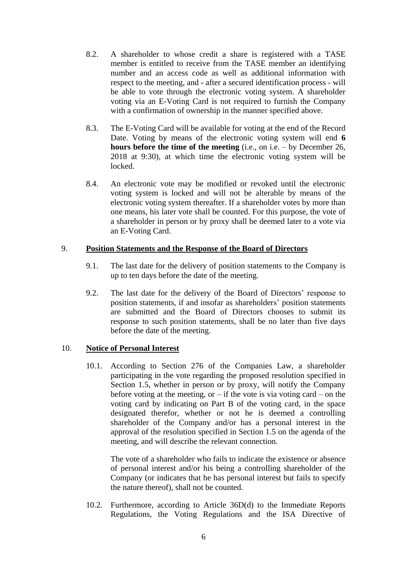- 8.2. A shareholder to whose credit a share is registered with a TASE member is entitled to receive from the TASE member an identifying number and an access code as well as additional information with respect to the meeting, and - after a secured identification process - will be able to vote through the electronic voting system. A shareholder voting via an E-Voting Card is not required to furnish the Company with a confirmation of ownership in the manner specified above.
- 8.3. The E-Voting Card will be available for voting at the end of the Record Date. Voting by means of the electronic voting system will end **6 hours before the time of the meeting** (i.e., on i.e. – by December 26, 2018 at 9:30), at which time the electronic voting system will be locked.
- 8.4. An electronic vote may be modified or revoked until the electronic voting system is locked and will not be alterable by means of the electronic voting system thereafter. If a shareholder votes by more than one means, his later vote shall be counted. For this purpose, the vote of a shareholder in person or by proxy shall be deemed later to a vote via an E-Voting Card.

### 9. **Position Statements and the Response of the Board of Directors**

- 9.1. The last date for the delivery of position statements to the Company is up to ten days before the date of the meeting.
- 9.2. The last date for the delivery of the Board of Directors' response to position statements, if and insofar as shareholders' position statements are submitted and the Board of Directors chooses to submit its response to such position statements, shall be no later than five days before the date of the meeting.

### 10. **Notice of Personal Interest**

10.1. According to Section 276 of the Companies Law, a shareholder participating in the vote regarding the proposed resolution specified in Section 1.5, whether in person or by proxy, will notify the Company before voting at the meeting, or  $-$  if the vote is via voting card  $-$  on the voting card by indicating on Part B of the voting card, in the space designated therefor, whether or not he is deemed a controlling shareholder of the Company and/or has a personal interest in the approval of the resolution specified in Section 1.5 on the agenda of the meeting, and will describe the relevant connection.

The vote of a shareholder who fails to indicate the existence or absence of personal interest and/or his being a controlling shareholder of the Company (or indicates that he has personal interest but fails to specify the nature thereof), shall not be counted.

10.2. Furthermore, according to Article 36D(d) to the Immediate Reports Regulations, the Voting Regulations and the ISA Directive of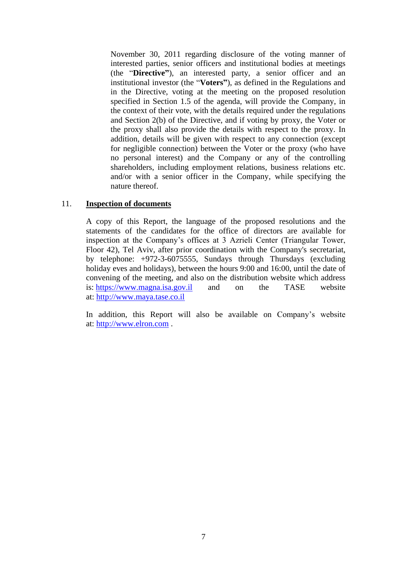November 30, 2011 regarding disclosure of the voting manner of interested parties, senior officers and institutional bodies at meetings (the "**Directive"**), an interested party, a senior officer and an institutional investor (the "**Voters"**), as defined in the Regulations and in the Directive, voting at the meeting on the proposed resolution specified in Section 1.5 of the agenda, will provide the Company, in the context of their vote, with the details required under the regulations and Section 2(b) of the Directive, and if voting by proxy, the Voter or the proxy shall also provide the details with respect to the proxy. In addition, details will be given with respect to any connection (except for negligible connection) between the Voter or the proxy (who have no personal interest) and the Company or any of the controlling shareholders, including employment relations, business relations etc. and/or with a senior officer in the Company, while specifying the nature thereof.

#### 11. **Inspection of documents**

A copy of this Report, the language of the proposed resolutions and the statements of the candidates for the office of directors are available for inspection at the Company's offices at 3 Azrieli Center (Triangular Tower, Floor 42), Tel Aviv, after prior coordination with the Company's secretariat, by telephone: +972-3-6075555, Sundays through Thursdays (excluding holiday eves and holidays), between the hours 9:00 and 16:00, until the date of convening of the meeting, and also on the distribution website which address is: [https://www.magna.isa.gov.il](https://www.magna.isa.gov.il/) and on the TASE website at: [http://www.maya.tase.co.il](http://www.maya.tase.co.il/)

In addition, this Report will also be available on Company's website at: [http://www.elron.com](http://www.elron.com/) .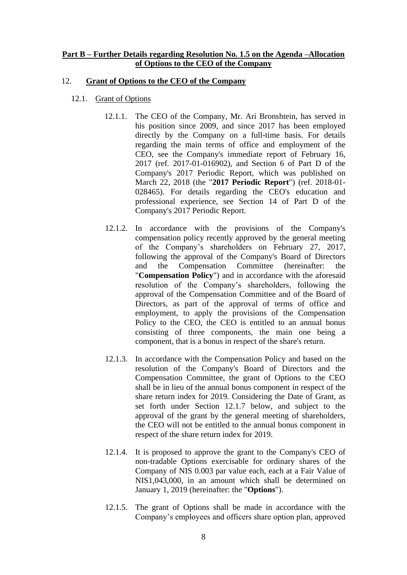### **Part B – Further Details regarding Resolution No. 1.5 on the Agenda –Allocation of Options to the CEO of the Company**

#### 12. **Grant of Options to the CEO of the Company**

- 12.1. Grant of Options
	- 12.1.1. The CEO of the Company, Mr. Ari Bronshtein, has served in his position since 2009, and since 2017 has been employed directly by the Company on a full-time basis. For details regarding the main terms of office and employment of the CEO, see the Company's immediate report of February 16, 2017 (ref. 2017-01-016902), and Section 6 of Part D of the Company's 2017 Periodic Report, which was published on March 22, 2018 (the "**2017 Periodic Report**") (ref. 2018-01- 028465). For details regarding the CEO's education and professional experience, see Section 14 of Part D of the Company's 2017 Periodic Report.
	- 12.1.2. In accordance with the provisions of the Company's compensation policy recently approved by the general meeting of the Company's shareholders on February 27, 2017, following the approval of the Company's Board of Directors and the Compensation Committee (hereinafter: the "**Compensation Policy**") and in accordance with the aforesaid resolution of the Company's shareholders, following the approval of the Compensation Committee and of the Board of Directors, as part of the approval of terms of office and employment, to apply the provisions of the Compensation Policy to the CEO, the CEO is entitled to an annual bonus consisting of three components, the main one being a component, that is a bonus in respect of the share's return.
	- 12.1.3. In accordance with the Compensation Policy and based on the resolution of the Company's Board of Directors and the Compensation Committee, the grant of Options to the CEO shall be in lieu of the annual bonus component in respect of the share return index for 2019. Considering the Date of Grant, as set forth under Section 12.1.7 below, and subject to the approval of the grant by the general meeting of shareholders, the CEO will not be entitled to the annual bonus component in respect of the share return index for 2019.
	- 12.1.4. It is proposed to approve the grant to the Company's CEO of non-tradable Options exercisable for ordinary shares of the Company of NIS 0.003 par value each, each at a Fair Value of NIS1,043,000, in an amount which shall be determined on January 1, 2019 (hereinafter: the "**Options**").
	- 12.1.5. The grant of Options shall be made in accordance with the Company's employees and officers share option plan, approved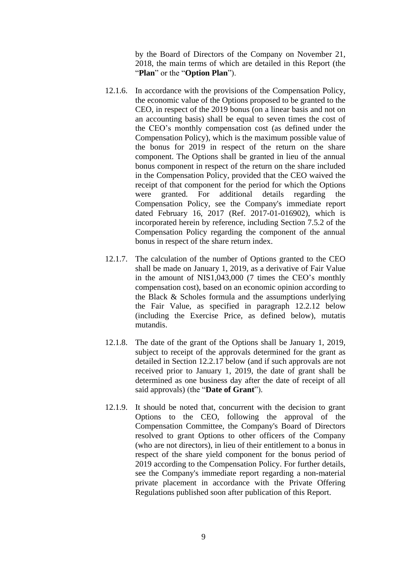by the Board of Directors of the Company on November 21, 2018, the main terms of which are detailed in this Report (the "**Plan**" or the "**Option Plan**").

- 12.1.6. In accordance with the provisions of the Compensation Policy, the economic value of the Options proposed to be granted to the CEO, in respect of the 2019 bonus (on a linear basis and not on an accounting basis) shall be equal to seven times the cost of the CEO's monthly compensation cost (as defined under the Compensation Policy), which is the maximum possible value of the bonus for 2019 in respect of the return on the share component. The Options shall be granted in lieu of the annual bonus component in respect of the return on the share included in the Compensation Policy, provided that the CEO waived the receipt of that component for the period for which the Options were granted. For additional details regarding the Compensation Policy, see the Company's immediate report dated February 16, 2017 (Ref. 2017-01-016902), which is incorporated herein by reference, including Section 7.5.2 of the Compensation Policy regarding the component of the annual bonus in respect of the share return index.
- 12.1.7. The calculation of the number of Options granted to the CEO shall be made on January 1, 2019, as a derivative of Fair Value in the amount of NIS1,043,000 (7 times the CEO's monthly compensation cost), based on an economic opinion according to the Black & Scholes formula and the assumptions underlying the Fair Value, as specified in paragraph 12.2.12 below (including the Exercise Price, as defined below), mutatis mutandis.
- 12.1.8. The date of the grant of the Options shall be January 1, 2019, subject to receipt of the approvals determined for the grant as detailed in Section 12.2.17 below (and if such approvals are not received prior to January 1, 2019, the date of grant shall be determined as one business day after the date of receipt of all said approvals) (the "**Date of Grant**").
- 12.1.9. It should be noted that, concurrent with the decision to grant Options to the CEO, following the approval of the Compensation Committee, the Company's Board of Directors resolved to grant Options to other officers of the Company (who are not directors), in lieu of their entitlement to a bonus in respect of the share yield component for the bonus period of 2019 according to the Compensation Policy. For further details, see the Company's immediate report regarding a non-material private placement in accordance with the Private Offering Regulations published soon after publication of this Report.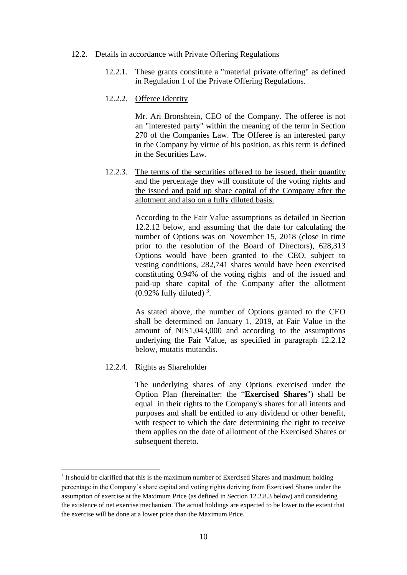#### 12.2. Details in accordance with Private Offering Regulations

- 12.2.1. These grants constitute a "material private offering" as defined in Regulation 1 of the Private Offering Regulations.
- 12.2.2. Offeree Identity

Mr. Ari Bronshtein, CEO of the Company. The offeree is not an "interested party" within the meaning of the term in Section 270 of the Companies Law. The Offeree is an interested party in the Company by virtue of his position, as this term is defined in the Securities Law.

12.2.3. The terms of the securities offered to be issued, their quantity and the percentage they will constitute of the voting rights and the issued and paid up share capital of the Company after the allotment and also on a fully diluted basis.

> According to the Fair Value assumptions as detailed in Section 12.2.12 below, and assuming that the date for calculating the number of Options was on November 15, 2018 (close in time prior to the resolution of the Board of Directors), 628,313 Options would have been granted to the CEO, subject to vesting conditions, 282,741 shares would have been exercised constituting 0.94% of the voting rights and of the issued and paid-up share capital of the Company after the allotment  $(0.92\%$  fully diluted)<sup>3</sup>.

> As stated above, the number of Options granted to the CEO shall be determined on January 1, 2019, at Fair Value in the amount of NIS1,043,000 and according to the assumptions underlying the Fair Value, as specified in paragraph 12.2.12 below, mutatis mutandis.

#### 12.2.4. Rights as Shareholder

 $\overline{a}$ 

The underlying shares of any Options exercised under the Option Plan (hereinafter: the "**Exercised Shares**") shall be equal in their rights to the Company's shares for all intents and purposes and shall be entitled to any dividend or other benefit, with respect to which the date determining the right to receive them applies on the date of allotment of the Exercised Shares or subsequent thereto.

<sup>&</sup>lt;sup>3</sup> It should be clarified that this is the maximum number of Exercised Shares and maximum holding percentage in the Company's share capital and voting rights deriving from Exercised Shares under the assumption of exercise at the Maximum Price (as defined in Section 12.2.8.3 below) and considering the existence of net exercise mechanism. The actual holdings are expected to be lower to the extent that the exercise will be done at a lower price than the Maximum Price.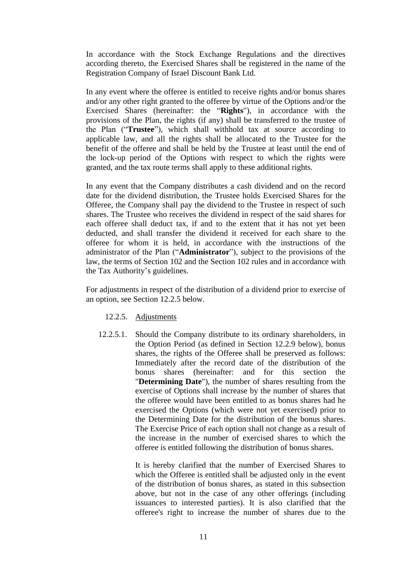In accordance with the Stock Exchange Regulations and the directives according thereto, the Exercised Shares shall be registered in the name of the Registration Company of Israel Discount Bank Ltd.

In any event where the offeree is entitled to receive rights and/or bonus shares and/or any other right granted to the offeree by virtue of the Options and/or the Exercised Shares (hereinafter: the "**Rights**"), in accordance with the provisions of the Plan, the rights (if any) shall be transferred to the trustee of the Plan ("**Trustee**"), which shall withhold tax at source according to applicable law, and all the rights shall be allocated to the Trustee for the benefit of the offeree and shall be held by the Trustee at least until the end of the lock-up period of the Options with respect to which the rights were granted, and the tax route terms shall apply to these additional rights.

In any event that the Company distributes a cash dividend and on the record date for the dividend distribution, the Trustee holds Exercised Shares for the Offeree, the Company shall pay the dividend to the Trustee in respect of such shares. The Trustee who receives the dividend in respect of the said shares for each offeree shall deduct tax, if and to the extent that it has not yet been deducted, and shall transfer the dividend it received for each share to the offeree for whom it is held, in accordance with the instructions of the administrator of the Plan ("**Administrator**"), subject to the provisions of the law, the terms of Section 102 and the Section 102 rules and in accordance with the Tax Authority's guidelines.

For adjustments in respect of the distribution of a dividend prior to exercise of an option, see Section 12.2.5 below.

- 12.2.5. Adjustments
- 12.2.5.1. Should the Company distribute to its ordinary shareholders, in the Option Period (as defined in Section 12.2.9 below), bonus shares, the rights of the Offeree shall be preserved as follows: Immediately after the record date of the distribution of the bonus shares (hereinafter: and for this section the "**Determining Date**"), the number of shares resulting from the exercise of Options shall increase by the number of shares that the offeree would have been entitled to as bonus shares had he exercised the Options (which were not yet exercised) prior to the Determining Date for the distribution of the bonus shares. The Exercise Price of each option shall not change as a result of the increase in the number of exercised shares to which the offeree is entitled following the distribution of bonus shares.

It is hereby clarified that the number of Exercised Shares to which the Offeree is entitled shall be adjusted only in the event of the distribution of bonus shares, as stated in this subsection above, but not in the case of any other offerings (including issuances to interested parties). It is also clarified that the offeree's right to increase the number of shares due to the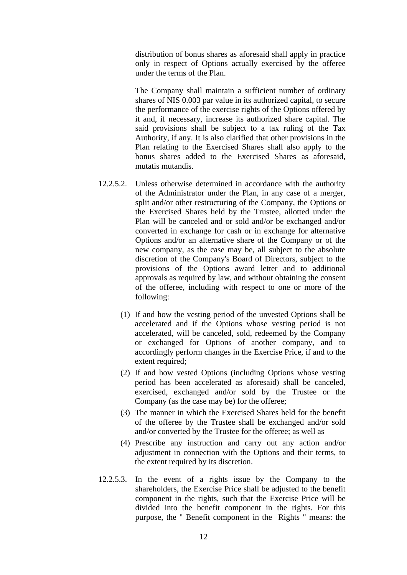distribution of bonus shares as aforesaid shall apply in practice only in respect of Options actually exercised by the offeree under the terms of the Plan.

The Company shall maintain a sufficient number of ordinary shares of NIS 0.003 par value in its authorized capital, to secure the performance of the exercise rights of the Options offered by it and, if necessary, increase its authorized share capital. The said provisions shall be subject to a tax ruling of the Tax Authority, if any. It is also clarified that other provisions in the Plan relating to the Exercised Shares shall also apply to the bonus shares added to the Exercised Shares as aforesaid, mutatis mutandis.

- 12.2.5.2. Unless otherwise determined in accordance with the authority of the Administrator under the Plan, in any case of a merger, split and/or other restructuring of the Company, the Options or the Exercised Shares held by the Trustee, allotted under the Plan will be canceled and or sold and/or be exchanged and/or converted in exchange for cash or in exchange for alternative Options and/or an alternative share of the Company or of the new company, as the case may be, all subject to the absolute discretion of the Company's Board of Directors, subject to the provisions of the Options award letter and to additional approvals as required by law, and without obtaining the consent of the offeree, including with respect to one or more of the following:
	- (1) If and how the vesting period of the unvested Options shall be accelerated and if the Options whose vesting period is not accelerated, will be canceled, sold, redeemed by the Company or exchanged for Options of another company, and to accordingly perform changes in the Exercise Price, if and to the extent required;
	- (2) If and how vested Options (including Options whose vesting period has been accelerated as aforesaid) shall be canceled, exercised, exchanged and/or sold by the Trustee or the Company (as the case may be) for the offeree;
	- (3) The manner in which the Exercised Shares held for the benefit of the offeree by the Trustee shall be exchanged and/or sold and/or converted by the Trustee for the offeree; as well as
	- (4) Prescribe any instruction and carry out any action and/or adjustment in connection with the Options and their terms, to the extent required by its discretion.
- 12.2.5.3. In the event of a rights issue by the Company to the shareholders, the Exercise Price shall be adjusted to the benefit component in the rights, such that the Exercise Price will be divided into the benefit component in the rights. For this purpose, the " Benefit component in the Rights " means: the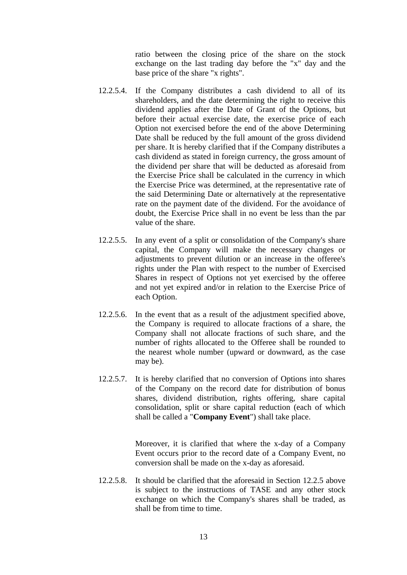ratio between the closing price of the share on the stock exchange on the last trading day before the "x" day and the base price of the share "x rights".

- 12.2.5.4. If the Company distributes a cash dividend to all of its shareholders, and the date determining the right to receive this dividend applies after the Date of Grant of the Options, but before their actual exercise date, the exercise price of each Option not exercised before the end of the above Determining Date shall be reduced by the full amount of the gross dividend per share. It is hereby clarified that if the Company distributes a cash dividend as stated in foreign currency, the gross amount of the dividend per share that will be deducted as aforesaid from the Exercise Price shall be calculated in the currency in which the Exercise Price was determined, at the representative rate of the said Determining Date or alternatively at the representative rate on the payment date of the dividend. For the avoidance of doubt, the Exercise Price shall in no event be less than the par value of the share.
- 12.2.5.5. In any event of a split or consolidation of the Company's share capital, the Company will make the necessary changes or adjustments to prevent dilution or an increase in the offeree's rights under the Plan with respect to the number of Exercised Shares in respect of Options not yet exercised by the offeree and not yet expired and/or in relation to the Exercise Price of each Option.
- 12.2.5.6. In the event that as a result of the adjustment specified above, the Company is required to allocate fractions of a share, the Company shall not allocate fractions of such share, and the number of rights allocated to the Offeree shall be rounded to the nearest whole number (upward or downward, as the case may be).
- 12.2.5.7. It is hereby clarified that no conversion of Options into shares of the Company on the record date for distribution of bonus shares, dividend distribution, rights offering, share capital consolidation, split or share capital reduction (each of which shall be called a "**Company Event**") shall take place.

Moreover, it is clarified that where the x-day of a Company Event occurs prior to the record date of a Company Event, no conversion shall be made on the x-day as aforesaid.

12.2.5.8. It should be clarified that the aforesaid in Section 12.2.5 above is subject to the instructions of TASE and any other stock exchange on which the Company's shares shall be traded, as shall be from time to time.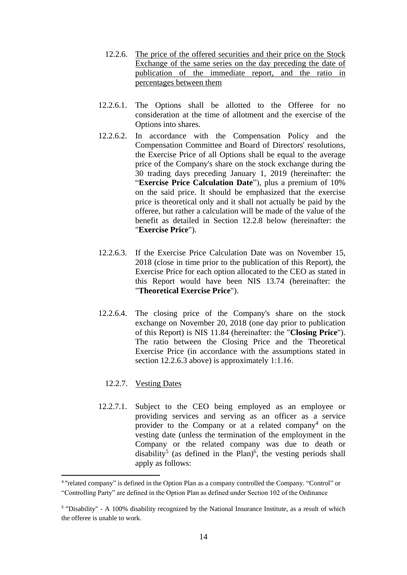- 12.2.6. The price of the offered securities and their price on the Stock Exchange of the same series on the day preceding the date of publication of the immediate report, and the ratio in percentages between them
- 12.2.6.1. The Options shall be allotted to the Offeree for no consideration at the time of allotment and the exercise of the Options into shares.
- 12.2.6.2. In accordance with the Compensation Policy and the Compensation Committee and Board of Directors' resolutions, the Exercise Price of all Options shall be equal to the average price of the Company's share on the stock exchange during the 30 trading days preceding January 1, 2019 (hereinafter: the "**Exercise Price Calculation Date**"), plus a premium of 10% on the said price. It should be emphasized that the exercise price is theoretical only and it shall not actually be paid by the offeree, but rather a calculation will be made of the value of the benefit as detailed in Section 12.2.8 below (hereinafter: the "**Exercise Price**").
- 12.2.6.3. If the Exercise Price Calculation Date was on November 15, 2018 (close in time prior to the publication of this Report), the Exercise Price for each option allocated to the CEO as stated in this Report would have been NIS 13.74 (hereinafter: the "**Theoretical Exercise Price**").
- 12.2.6.4. The closing price of the Company's share on the stock exchange on November 20, 2018 (one day prior to publication of this Report) is NIS 11.84 (hereinafter: the "**Closing Price**"). The ratio between the Closing Price and the Theoretical Exercise Price (in accordance with the assumptions stated in section 12.2.6.3 above) is approximately 1:1.16.

# 12.2.7. Vesting Dates

 $\overline{a}$ 

12.2.7.1. Subject to the CEO being employed as an employee or providing services and serving as an officer as a service provider to the Company or at a related company<sup>4</sup> on the vesting date (unless the termination of the employment in the Company or the related company was due to death or disability<sup>5</sup> (as defined in the Plan)<sup>6</sup>, the vesting periods shall apply as follows:

<sup>&</sup>lt;sup>4</sup> "related company" is defined in the Option Plan as a company controlled the Company. "Control" or "Controlling Party" are defined in the Option Plan as defined under Section 102 of the Ordinance

<sup>&</sup>lt;sup>5</sup> "Disability" - A 100% disability recognized by the National Insurance Institute, as a result of which the offeree is unable to work.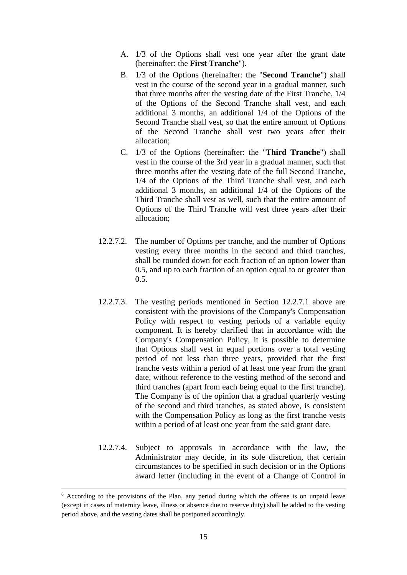- A. 1/3 of the Options shall vest one year after the grant date (hereinafter: the **First Tranche**").
- B. 1/3 of the Options (hereinafter: the "**Second Tranche**") shall vest in the course of the second year in a gradual manner, such that three months after the vesting date of the First Tranche, 1/4 of the Options of the Second Tranche shall vest, and each additional 3 months, an additional 1/4 of the Options of the Second Tranche shall vest, so that the entire amount of Options of the Second Tranche shall vest two years after their allocation;
- C. 1/3 of the Options (hereinafter: the "**Third Tranche**") shall vest in the course of the 3rd year in a gradual manner, such that three months after the vesting date of the full Second Tranche, 1/4 of the Options of the Third Tranche shall vest, and each additional 3 months, an additional 1/4 of the Options of the Third Tranche shall vest as well, such that the entire amount of Options of the Third Tranche will vest three years after their allocation;
- 12.2.7.2. The number of Options per tranche, and the number of Options vesting every three months in the second and third tranches, shall be rounded down for each fraction of an option lower than 0.5, and up to each fraction of an option equal to or greater than 0.5.
- 12.2.7.3. The vesting periods mentioned in Section 12.2.7.1 above are consistent with the provisions of the Company's Compensation Policy with respect to vesting periods of a variable equity component. It is hereby clarified that in accordance with the Company's Compensation Policy, it is possible to determine that Options shall vest in equal portions over a total vesting period of not less than three years, provided that the first tranche vests within a period of at least one year from the grant date, without reference to the vesting method of the second and third tranches (apart from each being equal to the first tranche). The Company is of the opinion that a gradual quarterly vesting of the second and third tranches, as stated above, is consistent with the Compensation Policy as long as the first tranche vests within a period of at least one year from the said grant date.
- 12.2.7.4. Subject to approvals in accordance with the law, the Administrator may decide, in its sole discretion, that certain circumstances to be specified in such decision or in the Options award letter (including in the event of a Change of Control in

<u>.</u>

<sup>6</sup> According to the provisions of the Plan, any period during which the offeree is on unpaid leave (except in cases of maternity leave, illness or absence due to reserve duty) shall be added to the vesting period above, and the vesting dates shall be postponed accordingly.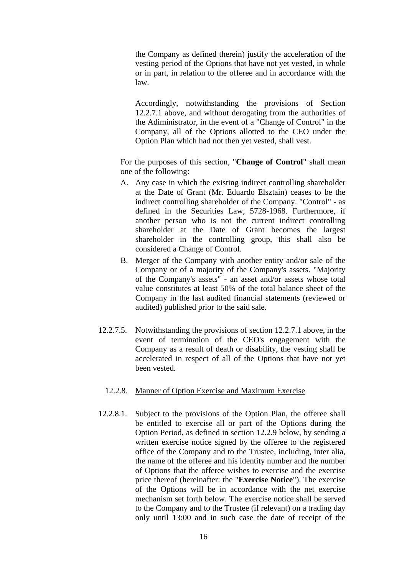the Company as defined therein) justify the acceleration of the vesting period of the Options that have not yet vested, in whole or in part, in relation to the offeree and in accordance with the law.

Accordingly, notwithstanding the provisions of Section 12.2.7.1 above, and without derogating from the authorities of the Adiministrator, in the event of a "Change of Control" in the Company, all of the Options allotted to the CEO under the Option Plan which had not then yet vested, shall vest.

For the purposes of this section, "**Change of Control**" shall mean one of the following:

- A. Any case in which the existing indirect controlling shareholder at the Date of Grant (Mr. Eduardo Elsztain) ceases to be the indirect controlling shareholder of the Company. "Control" - as defined in the Securities Law, 5728-1968. Furthermore, if another person who is not the current indirect controlling shareholder at the Date of Grant becomes the largest shareholder in the controlling group, this shall also be considered a Change of Control.
- B. Merger of the Company with another entity and/or sale of the Company or of a majority of the Company's assets. "Majority of the Company's assets" - an asset and/or assets whose total value constitutes at least 50% of the total balance sheet of the Company in the last audited financial statements (reviewed or audited) published prior to the said sale.
- 12.2.7.5. Notwithstanding the provisions of section 12.2.7.1 above, in the event of termination of the CEO's engagement with the Company as a result of death or disability, the vesting shall be accelerated in respect of all of the Options that have not yet been vested.
	- 12.2.8. Manner of Option Exercise and Maximum Exercise
- 12.2.8.1. Subject to the provisions of the Option Plan, the offeree shall be entitled to exercise all or part of the Options during the Option Period, as defined in section 12.2.9 below, by sending a written exercise notice signed by the offeree to the registered office of the Company and to the Trustee, including, inter alia, the name of the offeree and his identity number and the number of Options that the offeree wishes to exercise and the exercise price thereof (hereinafter: the "**Exercise Notice**"). The exercise of the Options will be in accordance with the net exercise mechanism set forth below. The exercise notice shall be served to the Company and to the Trustee (if relevant) on a trading day only until 13:00 and in such case the date of receipt of the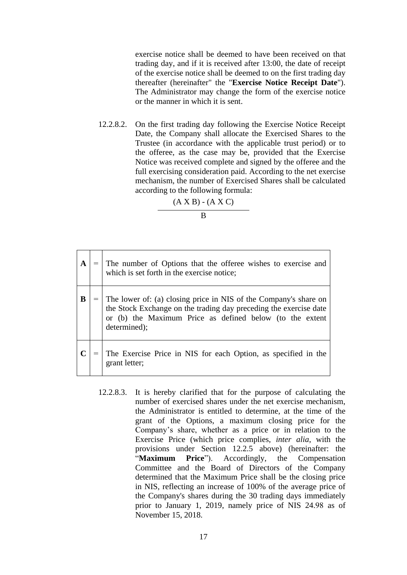exercise notice shall be deemed to have been received on that trading day, and if it is received after 13:00, the date of receipt of the exercise notice shall be deemed to on the first trading day thereafter (hereinafter" the "**Exercise Notice Receipt Date**"). The Administrator may change the form of the exercise notice or the manner in which it is sent.

12.2.8.2. On the first trading day following the Exercise Notice Receipt Date, the Company shall allocate the Exercised Shares to the Trustee (in accordance with the applicable trust period) or to the offeree, as the case may be, provided that the Exercise Notice was received complete and signed by the offeree and the full exercising consideration paid. According to the net exercise mechanism, the number of Exercised Shares shall be calculated according to the following formula:

 $(A X B) - (A X C)$ 

 $\overline{B}$ 

|   | The number of Options that the offeree wishes to exercise and which is set forth in the exercise notice;                                                                                                          |
|---|-------------------------------------------------------------------------------------------------------------------------------------------------------------------------------------------------------------------|
| B | The lower of: (a) closing price in NIS of the Company's share on<br>the Stock Exchange on the trading day preceding the exercise date<br>or (b) the Maximum Price as defined below (to the extent<br>determined); |
|   | The Exercise Price in NIS for each Option, as specified in the<br>grant letter;                                                                                                                                   |

12.2.8.3. It is hereby clarified that for the purpose of calculating the number of exercised shares under the net exercise mechanism, the Administrator is entitled to determine, at the time of the grant of the Options, a maximum closing price for the Company's share, whether as a price or in relation to the Exercise Price (which price complies, *inter alia*, with the provisions under Section 12.2.5 above) (hereinafter: the "**Maximum Price**"). Accordingly, the Compensation Committee and the Board of Directors of the Company determined that the Maximum Price shall be the closing price in NIS, reflecting an increase of 100% of the average price of the Company's shares during the 30 trading days immediately prior to January 1, 2019, namely price of NIS 24.98 as of November 15, 2018.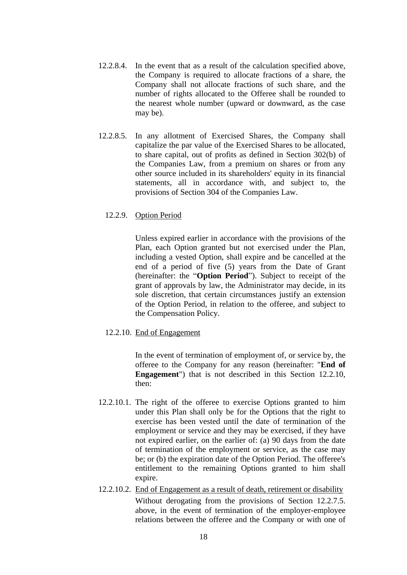- 12.2.8.4. In the event that as a result of the calculation specified above, the Company is required to allocate fractions of a share, the Company shall not allocate fractions of such share, and the number of rights allocated to the Offeree shall be rounded to the nearest whole number (upward or downward, as the case may be).
- 12.2.8.5. In any allotment of Exercised Shares, the Company shall capitalize the par value of the Exercised Shares to be allocated, to share capital, out of profits as defined in Section 302(b) of the Companies Law, from a premium on shares or from any other source included in its shareholders' equity in its financial statements, all in accordance with, and subject to, the provisions of Section 304 of the Companies Law.

### 12.2.9. Option Period

Unless expired earlier in accordance with the provisions of the Plan, each Option granted but not exercised under the Plan, including a vested Option, shall expire and be cancelled at the end of a period of five (5) years from the Date of Grant (hereinafter: the "**Option Period**"). Subject to receipt of the grant of approvals by law, the Administrator may decide, in its sole discretion, that certain circumstances justify an extension of the Option Period, in relation to the offeree, and subject to the Compensation Policy.

### 12.2.10. End of Engagement

In the event of termination of employment of, or service by, the offeree to the Company for any reason (hereinafter: "**End of Engagement**") that is not described in this Section 12.2.10, then:

- 12.2.10.1. The right of the offeree to exercise Options granted to him under this Plan shall only be for the Options that the right to exercise has been vested until the date of termination of the employment or service and they may be exercised, if they have not expired earlier, on the earlier of: (a) 90 days from the date of termination of the employment or service, as the case may be; or (b) the expiration date of the Option Period. The offeree's entitlement to the remaining Options granted to him shall expire.
- 12.2.10.2. End of Engagement as a result of death, retirement or disability Without derogating from the provisions of Section 12.2.7.5. above, in the event of termination of the employer-employee relations between the offeree and the Company or with one of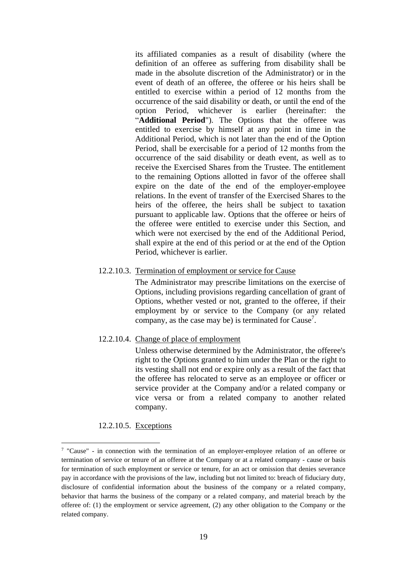its affiliated companies as a result of disability (where the definition of an offeree as suffering from disability shall be made in the absolute discretion of the Administrator) or in the event of death of an offeree, the offeree or his heirs shall be entitled to exercise within a period of 12 months from the occurrence of the said disability or death, or until the end of the option Period, whichever is earlier (hereinafter: the "**Additional Period**"). The Options that the offeree was entitled to exercise by himself at any point in time in the Additional Period, which is not later than the end of the Option Period, shall be exercisable for a period of 12 months from the occurrence of the said disability or death event, as well as to receive the Exercised Shares from the Trustee. The entitlement to the remaining Options allotted in favor of the offeree shall expire on the date of the end of the employer-employee relations. In the event of transfer of the Exercised Shares to the heirs of the offeree, the heirs shall be subject to taxation pursuant to applicable law. Options that the offeree or heirs of the offeree were entitled to exercise under this Section, and which were not exercised by the end of the Additional Period, shall expire at the end of this period or at the end of the Option Period, whichever is earlier.

#### 12.2.10.3. Termination of employment or service for Cause

The Administrator may prescribe limitations on the exercise of Options, including provisions regarding cancellation of grant of Options, whether vested or not, granted to the offeree, if their employment by or service to the Company (or any related company, as the case may be) is terminated for Cause<sup>7</sup>.

#### 12.2.10.4. Change of place of employment

Unless otherwise determined by the Administrator, the offeree's right to the Options granted to him under the Plan or the right to its vesting shall not end or expire only as a result of the fact that the offeree has relocated to serve as an employee or officer or service provider at the Company and/or a related company or vice versa or from a related company to another related company.

#### 12.2.10.5. Exceptions

 $\overline{a}$ 

<sup>7</sup> "Cause" - in connection with the termination of an employer-employee relation of an offeree or termination of service or tenure of an offeree at the Company or at a related company - cause or basis for termination of such employment or service or tenure, for an act or omission that denies severance pay in accordance with the provisions of the law, including but not limited to: breach of fiduciary duty, disclosure of confidential information about the business of the company or a related company, behavior that harms the business of the company or a related company, and material breach by the offeree of: (1) the employment or service agreement, (2) any other obligation to the Company or the related company.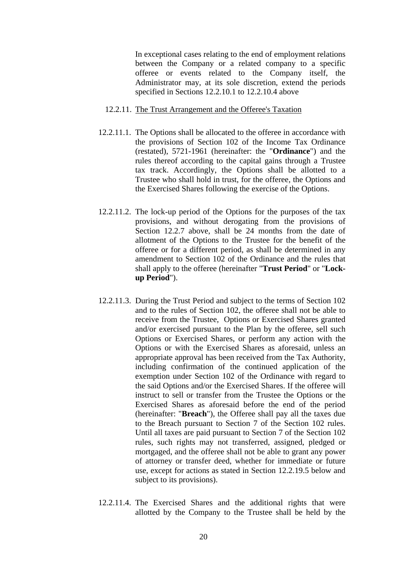In exceptional cases relating to the end of employment relations between the Company or a related company to a specific offeree or events related to the Company itself, the Administrator may, at its sole discretion, extend the periods specified in Sections 12.2.10.1 to 12.2.10.4 above

#### 12.2.11. The Trust Arrangement and the Offeree's Taxation

- 12.2.11.1. The Options shall be allocated to the offeree in accordance with the provisions of Section 102 of the Income Tax Ordinance (restated), 5721-1961 (hereinafter: the "**Ordinance**") and the rules thereof according to the capital gains through a Trustee tax track. Accordingly, the Options shall be allotted to a Trustee who shall hold in trust, for the offeree, the Options and the Exercised Shares following the exercise of the Options.
- 12.2.11.2. The lock-up period of the Options for the purposes of the tax provisions, and without derogating from the provisions of Section 12.2.7 above, shall be 24 months from the date of allotment of the Options to the Trustee for the benefit of the offeree or for a different period, as shall be determined in any amendment to Section 102 of the Ordinance and the rules that shall apply to the offeree (hereinafter "**Trust Period**" or "**Lockup Period**").
- 12.2.11.3. During the Trust Period and subject to the terms of Section 102 and to the rules of Section 102, the offeree shall not be able to receive from the Trustee, Options or Exercised Shares granted and/or exercised pursuant to the Plan by the offeree, sell such Options or Exercised Shares, or perform any action with the Options or with the Exercised Shares as aforesaid, unless an appropriate approval has been received from the Tax Authority, including confirmation of the continued application of the exemption under Section 102 of the Ordinance with regard to the said Options and/or the Exercised Shares. If the offeree will instruct to sell or transfer from the Trustee the Options or the Exercised Shares as aforesaid before the end of the period (hereinafter: "**Breach**"), the Offeree shall pay all the taxes due to the Breach pursuant to Section 7 of the Section 102 rules. Until all taxes are paid pursuant to Section 7 of the Section 102 rules, such rights may not transferred, assigned, pledged or mortgaged, and the offeree shall not be able to grant any power of attorney or transfer deed, whether for immediate or future use, except for actions as stated in Section 12.2.19.5 below and subject to its provisions).
- 12.2.11.4. The Exercised Shares and the additional rights that were allotted by the Company to the Trustee shall be held by the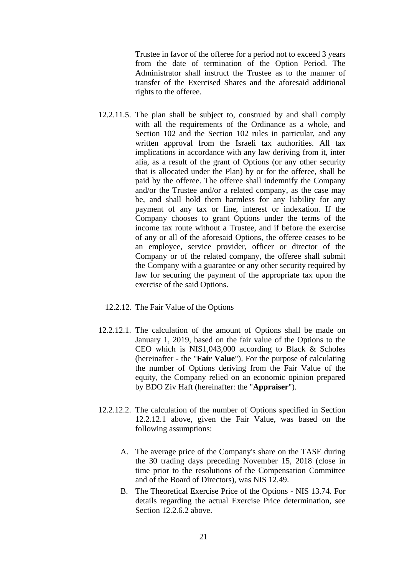Trustee in favor of the offeree for a period not to exceed 3 years from the date of termination of the Option Period. The Administrator shall instruct the Trustee as to the manner of transfer of the Exercised Shares and the aforesaid additional rights to the offeree.

- 12.2.11.5. The plan shall be subject to, construed by and shall comply with all the requirements of the Ordinance as a whole, and Section 102 and the Section 102 rules in particular, and any written approval from the Israeli tax authorities. All tax implications in accordance with any law deriving from it, inter alia, as a result of the grant of Options (or any other security that is allocated under the Plan) by or for the offeree, shall be paid by the offeree. The offeree shall indemnify the Company and/or the Trustee and/or a related company, as the case may be, and shall hold them harmless for any liability for any payment of any tax or fine, interest or indexation. If the Company chooses to grant Options under the terms of the income tax route without a Trustee, and if before the exercise of any or all of the aforesaid Options, the offeree ceases to be an employee, service provider, officer or director of the Company or of the related company, the offeree shall submit the Company with a guarantee or any other security required by law for securing the payment of the appropriate tax upon the exercise of the said Options.
	- 12.2.12. The Fair Value of the Options
- 12.2.12.1. The calculation of the amount of Options shall be made on January 1, 2019, based on the fair value of the Options to the CEO which is NIS1,043,000 according to Black & Scholes (hereinafter - the "**Fair Value**"). For the purpose of calculating the number of Options deriving from the Fair Value of the equity, the Company relied on an economic opinion prepared by BDO Ziv Haft (hereinafter: the "**Appraiser**").
- 12.2.12.2. The calculation of the number of Options specified in Section 12.2.12.1 above, given the Fair Value, was based on the following assumptions:
	- A. The average price of the Company's share on the TASE during the 30 trading days preceding November 15, 2018 (close in time prior to the resolutions of the Compensation Committee and of the Board of Directors), was NIS 12.49.
	- B. The Theoretical Exercise Price of the Options NIS 13.74. For details regarding the actual Exercise Price determination, see Section 12.2.6.2 above.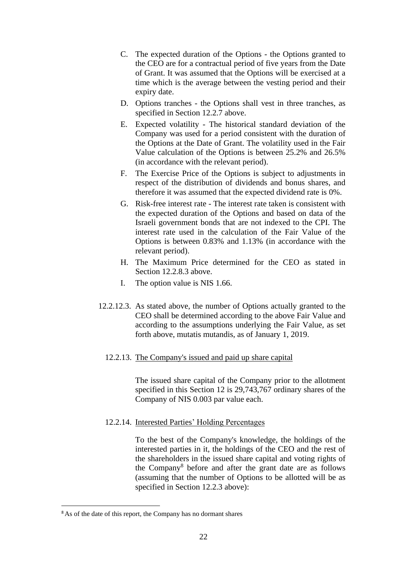- C. The expected duration of the Options the Options granted to the CEO are for a contractual period of five years from the Date of Grant. It was assumed that the Options will be exercised at a time which is the average between the vesting period and their expiry date.
- D. Options tranches the Options shall vest in three tranches, as specified in Section 12.2.7 above.
- E. Expected volatility The historical standard deviation of the Company was used for a period consistent with the duration of the Options at the Date of Grant. The volatility used in the Fair Value calculation of the Options is between 25.2% and 26.5% (in accordance with the relevant period).
- F. The Exercise Price of the Options is subject to adjustments in respect of the distribution of dividends and bonus shares, and therefore it was assumed that the expected dividend rate is 0%.
- G. Risk-free interest rate The interest rate taken is consistent with the expected duration of the Options and based on data of the Israeli government bonds that are not indexed to the CPI. The interest rate used in the calculation of the Fair Value of the Options is between 0.83% and 1.13% (in accordance with the relevant period).
- H. The Maximum Price determined for the CEO as stated in Section 12.2.8.3 above.
- I. The option value is NIS 1.66.
- 12.2.12.3. As stated above, the number of Options actually granted to the CEO shall be determined according to the above Fair Value and according to the assumptions underlying the Fair Value, as set forth above, mutatis mutandis, as of January 1, 2019.

# 12.2.13. The Company's issued and paid up share capital

The issued share capital of the Company prior to the allotment specified in this Section 12 is 29,743,767 ordinary shares of the Company of NIS 0.003 par value each.

### 12.2.14. Interested Parties' Holding Percentages

To the best of the Company's knowledge, the holdings of the interested parties in it, the holdings of the CEO and the rest of the shareholders in the issued share capital and voting rights of the Company<sup>8</sup> before and after the grant date are as follows (assuming that the number of Options to be allotted will be as specified in Section 12.2.3 above):

 $\overline{a}$ 

<sup>&</sup>lt;sup>8</sup> As of the date of this report, the Company has no dormant shares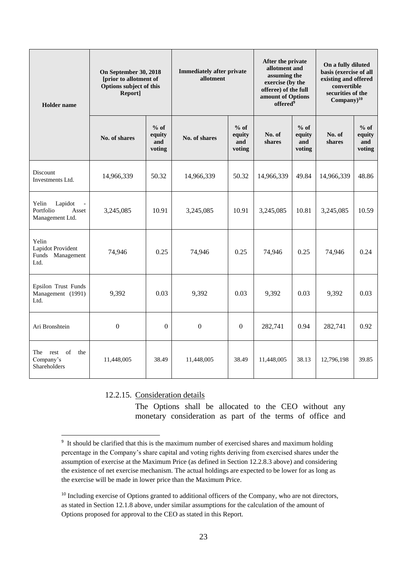| <b>Holder</b> name                                            | On September 30, 2018<br>[prior to allotment of<br>Options subject of this<br>Report] |                                   | <b>Immediately after private</b><br>allotment | After the private<br>allotment and<br>assuming the<br>exercise (by the<br>offeree) of the full<br>amount of Options<br>offered <sup>9</sup> |                  | On a fully diluted<br>basis (exercise of all<br>existing and offered<br>convertible<br>securities of the<br>$Company)^{10}$ |                  |                                   |
|---------------------------------------------------------------|---------------------------------------------------------------------------------------|-----------------------------------|-----------------------------------------------|---------------------------------------------------------------------------------------------------------------------------------------------|------------------|-----------------------------------------------------------------------------------------------------------------------------|------------------|-----------------------------------|
|                                                               | No. of shares                                                                         | $%$ of<br>equity<br>and<br>voting | No. of shares                                 | $%$ of<br>equity<br>and<br>voting                                                                                                           | No. of<br>shares | $%$ of<br>equity<br>and<br>voting                                                                                           | No. of<br>shares | $%$ of<br>equity<br>and<br>voting |
| Discount<br>Investments Ltd.                                  | 14,966,339                                                                            | 50.32                             | 14,966,339                                    | 50.32                                                                                                                                       | 14,966,339       | 49.84                                                                                                                       | 14,966,339       | 48.86                             |
| Lapidot<br>Yelin<br>Portfolio<br>Asset<br>Management Ltd.     | 3,245,085                                                                             | 10.91                             | 3,245,085                                     | 10.91                                                                                                                                       | 3,245,085        | 10.81                                                                                                                       | 3,245,085        | 10.59                             |
| Yelin<br><b>Lapidot Provident</b><br>Funds Management<br>Ltd. | 74,946                                                                                | 0.25                              | 74,946                                        | 0.25                                                                                                                                        | 74,946           | 0.25                                                                                                                        | 74,946           | 0.24                              |
| Epsilon Trust Funds<br>Management (1991)<br>Ltd.              | 9,392                                                                                 | 0.03                              | 9,392                                         | 0.03                                                                                                                                        | 9,392            | 0.03                                                                                                                        | 9,392            | 0.03                              |
| Ari Bronshtein                                                | $\mathbf{0}$                                                                          | $\boldsymbol{0}$                  | $\boldsymbol{0}$                              | $\boldsymbol{0}$                                                                                                                            | 282,741          | 0.94                                                                                                                        | 282,741          | 0.92                              |
| The rest of<br>the<br>Company's<br>Shareholders               | 11,448,005                                                                            | 38.49                             | 11,448,005                                    | 38.49                                                                                                                                       | 11,448,005       | 38.13                                                                                                                       | 12,796,198       | 39.85                             |

12.2.15. Consideration details

The Options shall be allocated to the CEO without any monetary consideration as part of the terms of office and

 $\overline{a}$ <sup>9</sup> It should be clarified that this is the maximum number of exercised shares and maximum holding percentage in the Company's share capital and voting rights deriving from exercised shares under the assumption of exercise at the Maximum Price (as defined in Section 12.2.8.3 above) and considering the existence of net exercise mechanism. The actual holdings are expected to be lower for as long as the exercise will be made in lower price than the Maximum Price.

<sup>&</sup>lt;sup>10</sup> Including exercise of Options granted to additional officers of the Company, who are not directors, as stated in Section 12.1.8 above, under similar assumptions for the calculation of the amount of Options proposed for approval to the CEO as stated in this Report.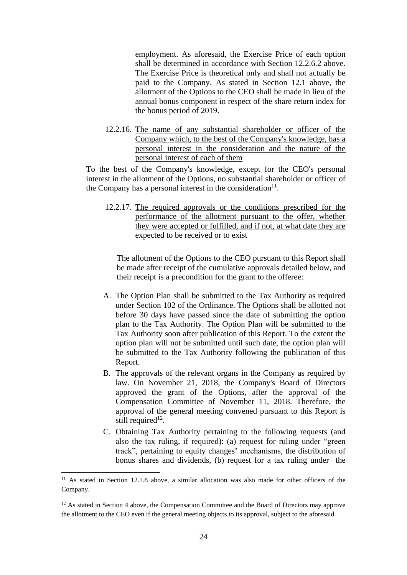employment. As aforesaid, the Exercise Price of each option shall be determined in accordance with Section 12.2.6.2 above. The Exercise Price is theoretical only and shall not actually be paid to the Company. As stated in Section 12.1 above, the allotment of the Options to the CEO shall be made in lieu of the annual bonus component in respect of the share return index for the bonus period of 2019.

12.2.16. The name of any substantial shareholder or officer of the Company which, to the best of the Company's knowledge, has a personal interest in the consideration and the nature of the personal interest of each of them

To the best of the Company's knowledge, except for the CEO's personal interest in the allotment of the Options, no substantial shareholder or officer of the Company has a personal interest in the consideration $11$ .

12.2.17. The required approvals or the conditions prescribed for the performance of the allotment pursuant to the offer, whether they were accepted or fulfilled, and if not, at what date they are expected to be received or to exist

The allotment of the Options to the CEO pursuant to this Report shall be made after receipt of the cumulative approvals detailed below, and their receipt is a precondition for the grant to the offeree:

- A. The Option Plan shall be submitted to the Tax Authority as required under Section 102 of the Ordinance. The Options shall be allotted not before 30 days have passed since the date of submitting the option plan to the Tax Authority. The Option Plan will be submitted to the Tax Authority soon after publication of this Report. To the extent the option plan will not be submitted until such date, the option plan will be submitted to the Tax Authority following the publication of this Report.
- B. The approvals of the relevant organs in the Company as required by law. On November 21, 2018, the Company's Board of Directors approved the grant of the Options, after the approval of the Compensation Committee of November 11, 2018. Therefore, the approval of the general meeting convened pursuant to this Report is still required<sup>12</sup>.
- C. Obtaining Tax Authority pertaining to the following requests (and also the tax ruling, if required): (a) request for ruling under "green track", pertaining to equity changes' mechanisms, the distribution of bonus shares and dividends, (b) request for a tax ruling under the

 $\overline{a}$ 

<sup>&</sup>lt;sup>11</sup> As stated in Section 12.1.8 above, a similar allocation was also made for other officers of the Company.

<sup>&</sup>lt;sup>12</sup> As stated in Section 4 above, the Compensation Committee and the Board of Directors may approve the allotment to the CEO even if the general meeting objects to its approval, subject to the aforesaid.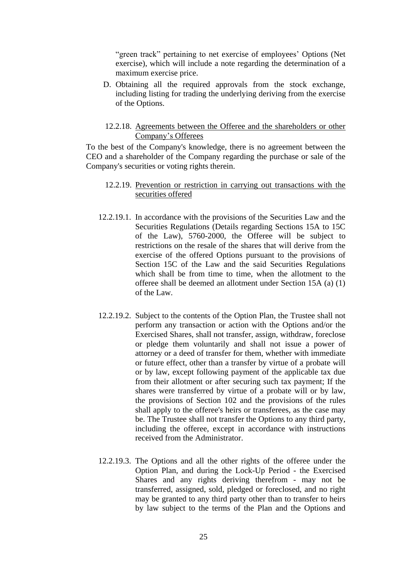"green track" pertaining to net exercise of employees' Options (Net exercise), which will include a note regarding the determination of a maximum exercise price.

D. Obtaining all the required approvals from the stock exchange, including listing for trading the underlying deriving from the exercise of the Options.

#### 12.2.18. Agreements between the Offeree and the shareholders or other Company's Offerees

To the best of the Company's knowledge, there is no agreement between the CEO and a shareholder of the Company regarding the purchase or sale of the Company's securities or voting rights therein.

### 12.2.19. Prevention or restriction in carrying out transactions with the securities offered

- 12.2.19.1. In accordance with the provisions of the Securities Law and the Securities Regulations (Details regarding Sections 15A to 15C of the Law), 5760-2000, the Offeree will be subject to restrictions on the resale of the shares that will derive from the exercise of the offered Options pursuant to the provisions of Section 15C of the Law and the said Securities Regulations which shall be from time to time, when the allotment to the offeree shall be deemed an allotment under Section 15A (a) (1) of the Law.
- 12.2.19.2. Subject to the contents of the Option Plan, the Trustee shall not perform any transaction or action with the Options and/or the Exercised Shares, shall not transfer, assign, withdraw, foreclose or pledge them voluntarily and shall not issue a power of attorney or a deed of transfer for them, whether with immediate or future effect, other than a transfer by virtue of a probate will or by law, except following payment of the applicable tax due from their allotment or after securing such tax payment; If the shares were transferred by virtue of a probate will or by law, the provisions of Section 102 and the provisions of the rules shall apply to the offeree's heirs or transferees, as the case may be. The Trustee shall not transfer the Options to any third party, including the offeree, except in accordance with instructions received from the Administrator.
- 12.2.19.3. The Options and all the other rights of the offeree under the Option Plan, and during the Lock-Up Period - the Exercised Shares and any rights deriving therefrom - may not be transferred, assigned, sold, pledged or foreclosed, and no right may be granted to any third party other than to transfer to heirs by law subject to the terms of the Plan and the Options and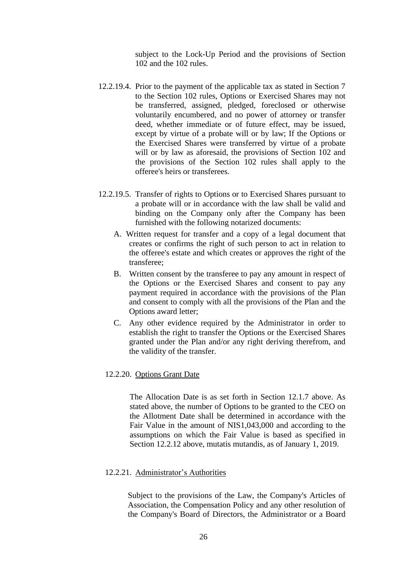subject to the Lock-Up Period and the provisions of Section 102 and the 102 rules.

- 12.2.19.4. Prior to the payment of the applicable tax as stated in Section 7 to the Section 102 rules, Options or Exercised Shares may not be transferred, assigned, pledged, foreclosed or otherwise voluntarily encumbered, and no power of attorney or transfer deed, whether immediate or of future effect, may be issued, except by virtue of a probate will or by law; If the Options or the Exercised Shares were transferred by virtue of a probate will or by law as aforesaid, the provisions of Section 102 and the provisions of the Section 102 rules shall apply to the offeree's heirs or transferees.
- 12.2.19.5. Transfer of rights to Options or to Exercised Shares pursuant to a probate will or in accordance with the law shall be valid and binding on the Company only after the Company has been furnished with the following notarized documents:
	- A. Written request for transfer and a copy of a legal document that creates or confirms the right of such person to act in relation to the offeree's estate and which creates or approves the right of the transferee;
	- B. Written consent by the transferee to pay any amount in respect of the Options or the Exercised Shares and consent to pay any payment required in accordance with the provisions of the Plan and consent to comply with all the provisions of the Plan and the Options award letter;
	- C. Any other evidence required by the Administrator in order to establish the right to transfer the Options or the Exercised Shares granted under the Plan and/or any right deriving therefrom, and the validity of the transfer.

#### 12.2.20. Options Grant Date

The Allocation Date is as set forth in Section 12.1.7 above. As stated above, the number of Options to be granted to the CEO on the Allotment Date shall be determined in accordance with the Fair Value in the amount of NIS1,043,000 and according to the assumptions on which the Fair Value is based as specified in Section 12.2.12 above, mutatis mutandis, as of January 1, 2019.

#### 12.2.21. Administrator's Authorities

Subject to the provisions of the Law, the Company's Articles of Association, the Compensation Policy and any other resolution of the Company's Board of Directors, the Administrator or a Board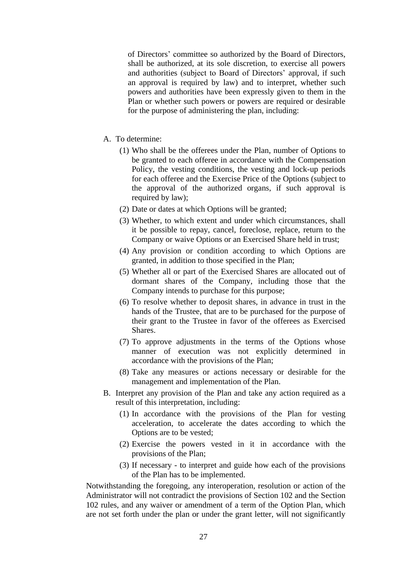of Directors' committee so authorized by the Board of Directors, shall be authorized, at its sole discretion, to exercise all powers and authorities (subject to Board of Directors' approval, if such an approval is required by law) and to interpret, whether such powers and authorities have been expressly given to them in the Plan or whether such powers or powers are required or desirable for the purpose of administering the plan, including:

- A. To determine:
	- (1) Who shall be the offerees under the Plan, number of Options to be granted to each offeree in accordance with the Compensation Policy, the vesting conditions, the vesting and lock-up periods for each offeree and the Exercise Price of the Options (subject to the approval of the authorized organs, if such approval is required by law);
	- (2) Date or dates at which Options will be granted;
	- (3) Whether, to which extent and under which circumstances, shall it be possible to repay, cancel, foreclose, replace, return to the Company or waive Options or an Exercised Share held in trust;
	- (4) Any provision or condition according to which Options are granted, in addition to those specified in the Plan;
	- (5) Whether all or part of the Exercised Shares are allocated out of dormant shares of the Company, including those that the Company intends to purchase for this purpose;
	- (6) To resolve whether to deposit shares, in advance in trust in the hands of the Trustee, that are to be purchased for the purpose of their grant to the Trustee in favor of the offerees as Exercised Shares.
	- (7) To approve adjustments in the terms of the Options whose manner of execution was not explicitly determined in accordance with the provisions of the Plan;
	- (8) Take any measures or actions necessary or desirable for the management and implementation of the Plan.
- B. Interpret any provision of the Plan and take any action required as a result of this interpretation, including:
	- (1) In accordance with the provisions of the Plan for vesting acceleration, to accelerate the dates according to which the Options are to be vested;
	- (2) Exercise the powers vested in it in accordance with the provisions of the Plan;
	- (3) If necessary to interpret and guide how each of the provisions of the Plan has to be implemented.

Notwithstanding the foregoing, any interoperation, resolution or action of the Administrator will not contradict the provisions of Section 102 and the Section 102 rules, and any waiver or amendment of a term of the Option Plan, which are not set forth under the plan or under the grant letter, will not significantly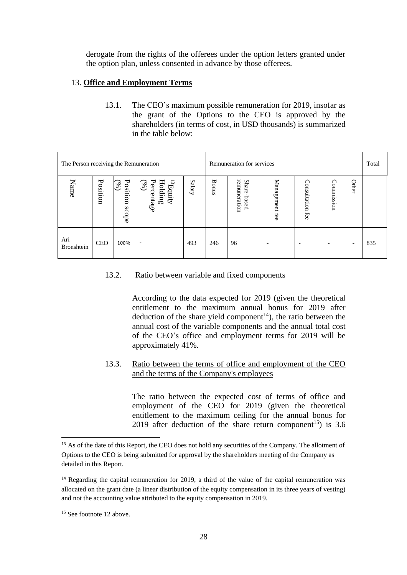derogate from the rights of the offerees under the option letters granted under the option plan, unless consented in advance by those offerees.

## 13. **Office and Employment Terms**

13.1. The CEO's maximum possible remuneration for 2019, insofar as the grant of the Options to the CEO is approved by the shareholders (in terms of cost, in USD thousands) is summarized in the table below:

| The Person receiving the Remuneration |            |                             |                                                                                                                          | Remuneration for services |              |                                        |                          | Total                    |                          |                          |     |
|---------------------------------------|------------|-----------------------------|--------------------------------------------------------------------------------------------------------------------------|---------------------------|--------------|----------------------------------------|--------------------------|--------------------------|--------------------------|--------------------------|-----|
| Name                                  | Position   | Position<br>$(\%)$<br>scope | Percentage $\begin{pmatrix} \gamma_6 \\ \gamma_6 \end{pmatrix}$<br>$\mathrm{supp}\mathbf{H}$<br>$\operatorname{Holding}$ | Salary                    | <b>Bonus</b> | remuneration<br><b>Share</b><br>-based | Management<br>fee        | Consultation fee         | Commission               | Other                    |     |
| Ari<br>Bronshtein                     | <b>CEO</b> | 100%                        | $\overline{\phantom{a}}$                                                                                                 | 493                       | 246          | 96                                     | $\overline{\phantom{0}}$ | $\overline{\phantom{0}}$ | $\overline{\phantom{a}}$ | $\overline{\phantom{a}}$ | 835 |

# 13.2. Ratio between variable and fixed components

According to the data expected for 2019 (given the theoretical entitlement to the maximum annual bonus for 2019 after deduction of the share yield component<sup>14</sup>), the ratio between the annual cost of the variable components and the annual total cost of the CEO's office and employment terms for 2019 will be approximately 41%.

## 13.3. Ratio between the terms of office and employment of the CEO and the terms of the Company's employees

The ratio between the expected cost of terms of office and employment of the CEO for 2019 (given the theoretical entitlement to the maximum ceiling for the annual bonus for 2019 after deduction of the share return component<sup>15</sup>) is 3.6

 $\overline{a}$ 

<sup>&</sup>lt;sup>13</sup> As of the date of this Report, the CEO does not hold any securities of the Company. The allotment of Options to the CEO is being submitted for approval by the shareholders meeting of the Company as detailed in this Report.

<sup>&</sup>lt;sup>14</sup> Regarding the capital remuneration for 2019, a third of the value of the capital remuneration was allocated on the grant date (a linear distribution of the equity compensation in its three years of vesting) and not the accounting value attributed to the equity compensation in 2019.

<sup>&</sup>lt;sup>15</sup> See footnote 12 above.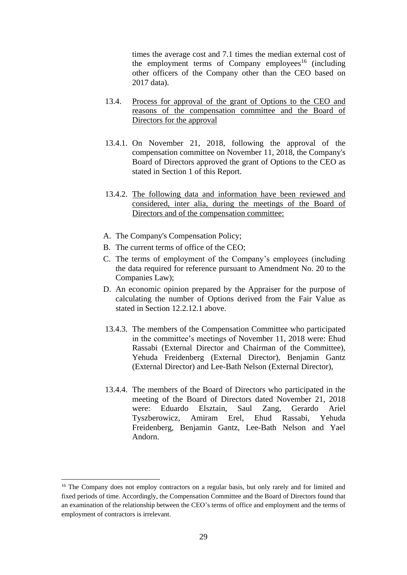times the average cost and 7.1 times the median external cost of the employment terms of Company employees<sup>16</sup> (including other officers of the Company other than the CEO based on 2017 data).

- 13.4. Process for approval of the grant of Options to the CEO and reasons of the compensation committee and the Board of Directors for the approval
- 13.4.1. On November 21, 2018, following the approval of the compensation committee on November 11, 2018, the Company's Board of Directors approved the grant of Options to the CEO as stated in Section 1 of this Report.
- 13.4.2. The following data and information have been reviewed and considered, inter alia, during the meetings of the Board of Directors and of the compensation committee:
- A. The Company's Compensation Policy;
- B. The current terms of office of the CEO;
- C. The terms of employment of the Company's employees (including the data required for reference pursuant to Amendment No. 20 to the Companies Law);
- D. An economic opinion prepared by the Appraiser for the purpose of calculating the number of Options derived from the Fair Value as stated in Section 12.2.12.1 above.
- 13.4.3. The members of the Compensation Committee who participated in the committee's meetings of November 11, 2018 were: Ehud Rassabi (External Director and Chairman of the Committee), Yehuda Freidenberg (External Director), Benjamin Gantz (External Director) and Lee-Bath Nelson (External Director),
- 13.4.4. The members of the Board of Directors who participated in the meeting of the Board of Directors dated November 21, 2018 were: Eduardo Elsztain, Saul Zang, Gerardo Ariel Tyszberowicz, Amiram Erel, Ehud Rassabi, Yehuda Freidenberg, Benjamin Gantz, Lee-Bath Nelson and Yael Andorn.

 $\overline{a}$ 

<sup>&</sup>lt;sup>16</sup> The Company does not employ contractors on a regular basis, but only rarely and for limited and fixed periods of time. Accordingly, the Compensation Committee and the Board of Directors found that an examination of the relationship between the CEO's terms of office and employment and the terms of employment of contractors is irrelevant.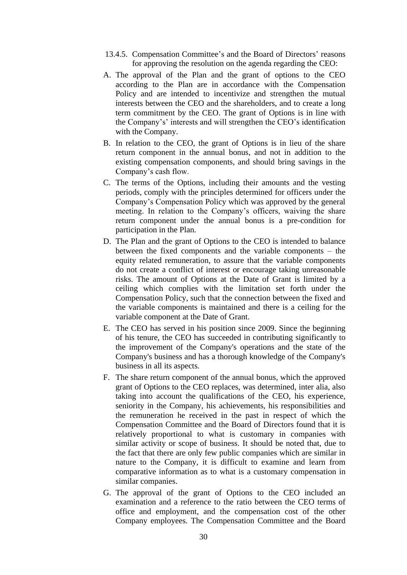- 13.4.5. Compensation Committee's and the Board of Directors' reasons for approving the resolution on the agenda regarding the CEO:
- A. The approval of the Plan and the grant of options to the CEO according to the Plan are in accordance with the Compensation Policy and are intended to incentivize and strengthen the mutual interests between the CEO and the shareholders, and to create a long term commitment by the CEO. The grant of Options is in line with the Company's' interests and will strengthen the CEO's identification with the Company.
- B. In relation to the CEO, the grant of Options is in lieu of the share return component in the annual bonus, and not in addition to the existing compensation components, and should bring savings in the Company's cash flow.
- C. The terms of the Options, including their amounts and the vesting periods, comply with the principles determined for officers under the Company's Compensation Policy which was approved by the general meeting. In relation to the Company's officers, waiving the share return component under the annual bonus is a pre-condition for participation in the Plan.
- D. The Plan and the grant of Options to the CEO is intended to balance between the fixed components and the variable components – the equity related remuneration, to assure that the variable components do not create a conflict of interest or encourage taking unreasonable risks. The amount of Options at the Date of Grant is limited by a ceiling which complies with the limitation set forth under the Compensation Policy, such that the connection between the fixed and the variable components is maintained and there is a ceiling for the variable component at the Date of Grant.
- E. The CEO has served in his position since 2009. Since the beginning of his tenure, the CEO has succeeded in contributing significantly to the improvement of the Company's operations and the state of the Company's business and has a thorough knowledge of the Company's business in all its aspects.
- F. The share return component of the annual bonus, which the approved grant of Options to the CEO replaces, was determined, inter alia, also taking into account the qualifications of the CEO, his experience, seniority in the Company, his achievements, his responsibilities and the remuneration he received in the past in respect of which the Compensation Committee and the Board of Directors found that it is relatively proportional to what is customary in companies with similar activity or scope of business. It should be noted that, due to the fact that there are only few public companies which are similar in nature to the Company, it is difficult to examine and learn from comparative information as to what is a customary compensation in similar companies.
- G. The approval of the grant of Options to the CEO included an examination and a reference to the ratio between the CEO terms of office and employment, and the compensation cost of the other Company employees. The Compensation Committee and the Board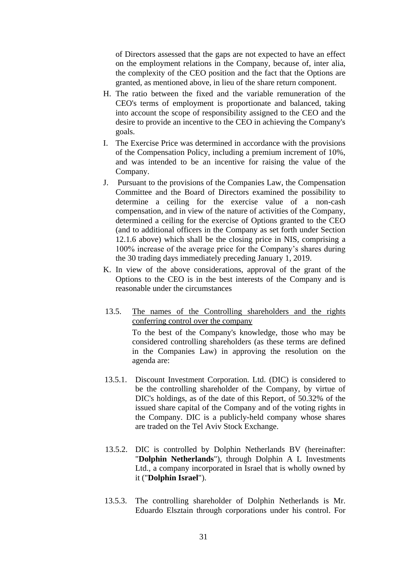of Directors assessed that the gaps are not expected to have an effect on the employment relations in the Company, because of, inter alia, the complexity of the CEO position and the fact that the Options are granted, as mentioned above, in lieu of the share return component.

- H. The ratio between the fixed and the variable remuneration of the CEO's terms of employment is proportionate and balanced, taking into account the scope of responsibility assigned to the CEO and the desire to provide an incentive to the CEO in achieving the Company's goals.
- I. The Exercise Price was determined in accordance with the provisions of the Compensation Policy, including a premium increment of 10%, and was intended to be an incentive for raising the value of the Company.
- J. Pursuant to the provisions of the Companies Law, the Compensation Committee and the Board of Directors examined the possibility to determine a ceiling for the exercise value of a non-cash compensation, and in view of the nature of activities of the Company, determined a ceiling for the exercise of Options granted to the CEO (and to additional officers in the Company as set forth under Section 12.1.6 above) which shall be the closing price in NIS, comprising a 100% increase of the average price for the Company's shares during the 30 trading days immediately preceding January 1, 2019.
- K. In view of the above considerations, approval of the grant of the Options to the CEO is in the best interests of the Company and is reasonable under the circumstances
- 13.5. The names of the Controlling shareholders and the rights conferring control over the company

To the best of the Company's knowledge, those who may be considered controlling shareholders (as these terms are defined in the Companies Law) in approving the resolution on the agenda are:

- 13.5.1. Discount Investment Corporation. Ltd. (DIC) is considered to be the controlling shareholder of the Company, by virtue of DIC's holdings, as of the date of this Report, of 50.32% of the issued share capital of the Company and of the voting rights in the Company. DIC is a publicly-held company whose shares are traded on the Tel Aviv Stock Exchange.
- 13.5.2. DIC is controlled by Dolphin Netherlands BV (hereinafter: "**Dolphin Netherlands**"), through Dolphin A L Investments Ltd., a company incorporated in Israel that is wholly owned by it ("**Dolphin Israel**").
- 13.5.3. The controlling shareholder of Dolphin Netherlands is Mr. Eduardo Elsztain through corporations under his control. For